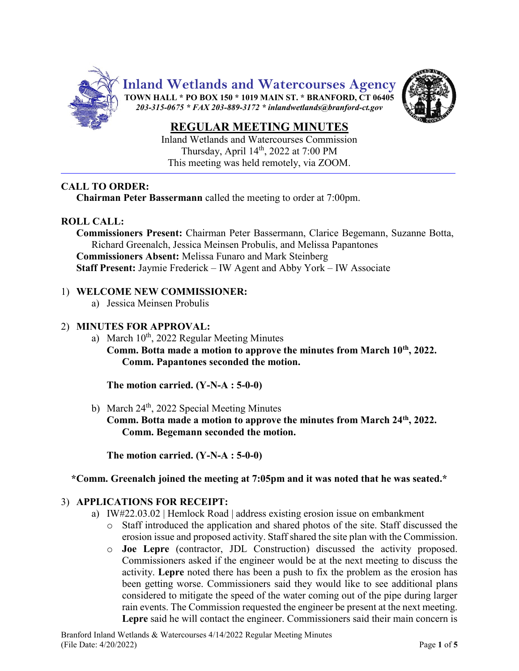

Inland Wetlands and Watercourses Commission Thursday, April 14<sup>th</sup>, 2022 at 7:00 PM This meeting was held remotely, via ZOOM.

## **CALL TO ORDER:**

**Chairman Peter Bassermann** called the meeting to order at 7:00pm.

## **ROLL CALL:**

**Commissioners Present:** Chairman Peter Bassermann, Clarice Begemann, Suzanne Botta, Richard Greenalch, Jessica Meinsen Probulis, and Melissa Papantones **Commissioners Absent:** Melissa Funaro and Mark Steinberg **Staff Present:** Jaymie Frederick – IW Agent and Abby York – IW Associate

### 1) **WELCOME NEW COMMISSIONER:**

a) Jessica Meinsen Probulis

#### 2) **MINUTES FOR APPROVAL:**

a) March 10<sup>th</sup>, 2022 Regular Meeting Minutes **Comm. Botta made a motion to approve the minutes from March 10th, 2022. Comm. Papantones seconded the motion.**

**The motion carried. (Y-N-A : 5-0-0)**

b) March  $24<sup>th</sup>$ , 2022 Special Meeting Minutes **Comm. Botta made a motion to approve the minutes from March 24th, 2022. Comm. Begemann seconded the motion.**

**The motion carried. (Y-N-A : 5-0-0)**

#### **\*Comm. Greenalch joined the meeting at 7:05pm and it was noted that he was seated.\***

#### 3) **APPLICATIONS FOR RECEIPT:**

- a) IW#22.03.02 | Hemlock Road | address existing erosion issue on embankment
	- o Staff introduced the application and shared photos of the site. Staff discussed the erosion issue and proposed activity. Staff shared the site plan with the Commission.
	- o **Joe Lepre** (contractor, JDL Construction) discussed the activity proposed. Commissioners asked if the engineer would be at the next meeting to discuss the activity. **Lepre** noted there has been a push to fix the problem as the erosion has been getting worse. Commissioners said they would like to see additional plans considered to mitigate the speed of the water coming out of the pipe during larger rain events. The Commission requested the engineer be present at the next meeting. **Lepre** said he will contact the engineer. Commissioners said their main concern is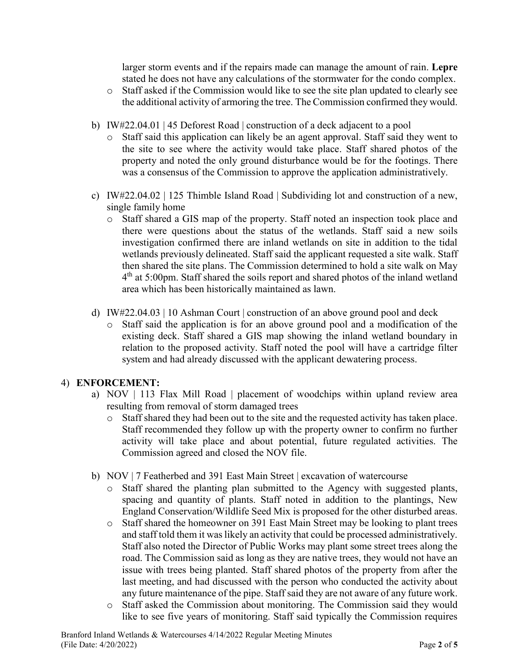larger storm events and if the repairs made can manage the amount of rain. **Lepre** stated he does not have any calculations of the stormwater for the condo complex.

- o Staff asked if the Commission would like to see the site plan updated to clearly see the additional activity of armoring the tree. The Commission confirmed they would.
- b) IW#22.04.01 | 45 Deforest Road | construction of a deck adjacent to a pool
	- o Staff said this application can likely be an agent approval. Staff said they went to the site to see where the activity would take place. Staff shared photos of the property and noted the only ground disturbance would be for the footings. There was a consensus of the Commission to approve the application administratively.
- c) IW#22.04.02 | 125 Thimble Island Road | Subdividing lot and construction of a new, single family home
	- o Staff shared a GIS map of the property. Staff noted an inspection took place and there were questions about the status of the wetlands. Staff said a new soils investigation confirmed there are inland wetlands on site in addition to the tidal wetlands previously delineated. Staff said the applicant requested a site walk. Staff then shared the site plans. The Commission determined to hold a site walk on May 4<sup>th</sup> at 5:00pm. Staff shared the soils report and shared photos of the inland wetland area which has been historically maintained as lawn.
- d) IW#22.04.03 | 10 Ashman Court | construction of an above ground pool and deck
	- o Staff said the application is for an above ground pool and a modification of the existing deck. Staff shared a GIS map showing the inland wetland boundary in relation to the proposed activity. Staff noted the pool will have a cartridge filter system and had already discussed with the applicant dewatering process.

# 4) **ENFORCEMENT:**

- a) NOV | 113 Flax Mill Road | placement of woodchips within upland review area resulting from removal of storm damaged trees
	- o Staff shared they had been out to the site and the requested activity has taken place. Staff recommended they follow up with the property owner to confirm no further activity will take place and about potential, future regulated activities. The Commission agreed and closed the NOV file.
- b) NOV | 7 Featherbed and 391 East Main Street | excavation of watercourse
	- o Staff shared the planting plan submitted to the Agency with suggested plants, spacing and quantity of plants. Staff noted in addition to the plantings, New England Conservation/Wildlife Seed Mix is proposed for the other disturbed areas.
	- o Staff shared the homeowner on 391 East Main Street may be looking to plant trees and staff told them it was likely an activity that could be processed administratively. Staff also noted the Director of Public Works may plant some street trees along the road. The Commission said as long as they are native trees, they would not have an issue with trees being planted. Staff shared photos of the property from after the last meeting, and had discussed with the person who conducted the activity about any future maintenance of the pipe. Staff said they are not aware of any future work.
	- o Staff asked the Commission about monitoring. The Commission said they would like to see five years of monitoring. Staff said typically the Commission requires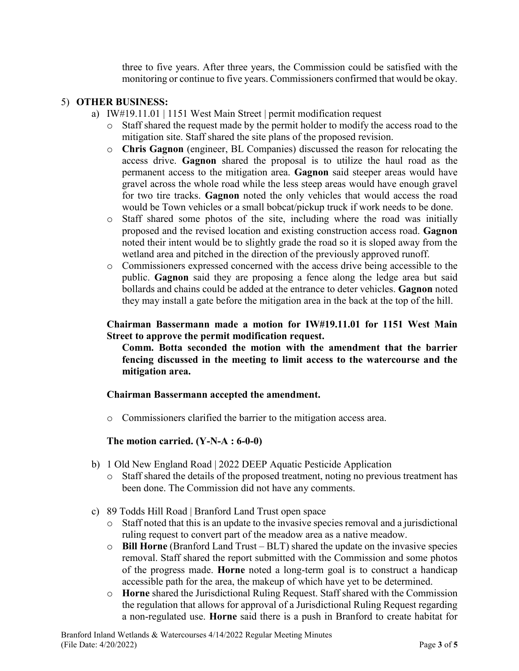three to five years. After three years, the Commission could be satisfied with the monitoring or continue to five years. Commissioners confirmed that would be okay.

### 5) **OTHER BUSINESS:**

- a) IW#19.11.01 | 1151 West Main Street | permit modification request
	- o Staff shared the request made by the permit holder to modify the access road to the mitigation site. Staff shared the site plans of the proposed revision.
	- o **Chris Gagnon** (engineer, BL Companies) discussed the reason for relocating the access drive. **Gagnon** shared the proposal is to utilize the haul road as the permanent access to the mitigation area. **Gagnon** said steeper areas would have gravel across the whole road while the less steep areas would have enough gravel for two tire tracks. **Gagnon** noted the only vehicles that would access the road would be Town vehicles or a small bobcat/pickup truck if work needs to be done.
	- o Staff shared some photos of the site, including where the road was initially proposed and the revised location and existing construction access road. **Gagnon** noted their intent would be to slightly grade the road so it is sloped away from the wetland area and pitched in the direction of the previously approved runoff.
	- o Commissioners expressed concerned with the access drive being accessible to the public. **Gagnon** said they are proposing a fence along the ledge area but said bollards and chains could be added at the entrance to deter vehicles. **Gagnon** noted they may install a gate before the mitigation area in the back at the top of the hill.

### **Chairman Bassermann made a motion for IW#19.11.01 for 1151 West Main Street to approve the permit modification request.**

**Comm. Botta seconded the motion with the amendment that the barrier fencing discussed in the meeting to limit access to the watercourse and the mitigation area.**

#### **Chairman Bassermann accepted the amendment.**

o Commissioners clarified the barrier to the mitigation access area.

## **The motion carried. (Y-N-A : 6-0-0)**

- b) 1 Old New England Road | 2022 DEEP Aquatic Pesticide Application
	- o Staff shared the details of the proposed treatment, noting no previous treatment has been done. The Commission did not have any comments.
- c) 89 Todds Hill Road | Branford Land Trust open space
	- o Staff noted that this is an update to the invasive species removal and a jurisdictional ruling request to convert part of the meadow area as a native meadow.
	- o **Bill Horne** (Branford Land Trust BLT) shared the update on the invasive species removal. Staff shared the report submitted with the Commission and some photos of the progress made. **Horne** noted a long-term goal is to construct a handicap accessible path for the area, the makeup of which have yet to be determined.
	- o **Horne** shared the Jurisdictional Ruling Request. Staff shared with the Commission the regulation that allows for approval of a Jurisdictional Ruling Request regarding a non-regulated use. **Horne** said there is a push in Branford to create habitat for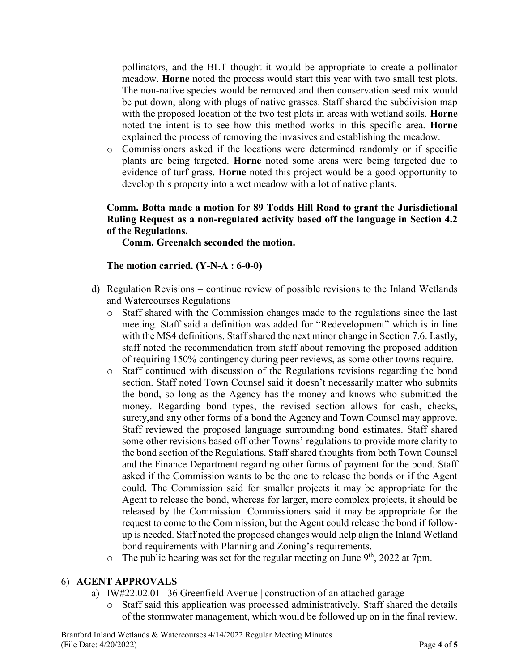pollinators, and the BLT thought it would be appropriate to create a pollinator meadow. **Horne** noted the process would start this year with two small test plots. The non-native species would be removed and then conservation seed mix would be put down, along with plugs of native grasses. Staff shared the subdivision map with the proposed location of the two test plots in areas with wetland soils. **Horne** noted the intent is to see how this method works in this specific area. **Horne** explained the process of removing the invasives and establishing the meadow.

o Commissioners asked if the locations were determined randomly or if specific plants are being targeted. **Horne** noted some areas were being targeted due to evidence of turf grass. **Horne** noted this project would be a good opportunity to develop this property into a wet meadow with a lot of native plants.

## **Comm. Botta made a motion for 89 Todds Hill Road to grant the Jurisdictional Ruling Request as a non-regulated activity based off the language in Section 4.2 of the Regulations.**

**Comm. Greenalch seconded the motion.**

### **The motion carried. (Y-N-A : 6-0-0)**

- d) Regulation Revisions continue review of possible revisions to the Inland Wetlands and Watercourses Regulations
	- o Staff shared with the Commission changes made to the regulations since the last meeting. Staff said a definition was added for "Redevelopment" which is in line with the MS4 definitions. Staff shared the next minor change in Section 7.6. Lastly, staff noted the recommendation from staff about removing the proposed addition of requiring 150% contingency during peer reviews, as some other towns require.
	- o Staff continued with discussion of the Regulations revisions regarding the bond section. Staff noted Town Counsel said it doesn't necessarily matter who submits the bond, so long as the Agency has the money and knows who submitted the money. Regarding bond types, the revised section allows for cash, checks, surety,and any other forms of a bond the Agency and Town Counsel may approve. Staff reviewed the proposed language surrounding bond estimates. Staff shared some other revisions based off other Towns' regulations to provide more clarity to the bond section of the Regulations. Staff shared thoughts from both Town Counsel and the Finance Department regarding other forms of payment for the bond. Staff asked if the Commission wants to be the one to release the bonds or if the Agent could. The Commission said for smaller projects it may be appropriate for the Agent to release the bond, whereas for larger, more complex projects, it should be released by the Commission. Commissioners said it may be appropriate for the request to come to the Commission, but the Agent could release the bond if followup is needed. Staff noted the proposed changes would help align the Inland Wetland bond requirements with Planning and Zoning's requirements.
	- $\circ$  The public hearing was set for the regular meeting on June 9<sup>th</sup>, 2022 at 7pm.

## 6) **AGENT APPROVALS**

- a) IW#22.02.01 | 36 Greenfield Avenue | construction of an attached garage
	- o Staff said this application was processed administratively. Staff shared the details of the stormwater management, which would be followed up on in the final review.